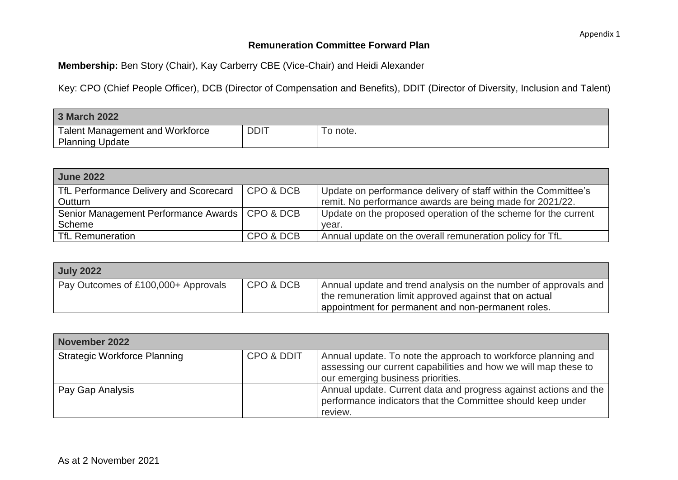## **Remuneration Committee Forward Plan**

**Membership:** Ben Story (Chair), Kay Carberry CBE (Vice-Chair) and Heidi Alexander

Key: CPO (Chief People Officer), DCB (Director of Compensation and Benefits), DDIT (Director of Diversity, Inclusion and Talent)

| 3 March 2022                                              |             |          |
|-----------------------------------------------------------|-------------|----------|
| Talent Management and Workforce<br><b>Planning Update</b> | <b>DDIT</b> | To note. |

| <b>June 2022</b>                                 |           |                                                                |
|--------------------------------------------------|-----------|----------------------------------------------------------------|
| TfL Performance Delivery and Scorecard           | CPO & DCB | Update on performance delivery of staff within the Committee's |
| Outturn                                          |           | remit. No performance awards are being made for 2021/22.       |
| Senior Management Performance Awards   CPO & DCB |           | Update on the proposed operation of the scheme for the current |
| Scheme                                           |           | vear.                                                          |
| <b>TfL Remuneration</b>                          | CPO & DCB | Annual update on the overall remuneration policy for TfL       |

| <b>July 2022</b>                    |           |                                                                                                                                                                                 |
|-------------------------------------|-----------|---------------------------------------------------------------------------------------------------------------------------------------------------------------------------------|
| Pay Outcomes of £100,000+ Approvals | CPO & DCB | Annual update and trend analysis on the number of approvals and<br>the remuneration limit approved against that on actual<br>appointment for permanent and non-permanent roles. |

| <b>November 2022</b>                |            |                                                                                                                                                                       |  |  |
|-------------------------------------|------------|-----------------------------------------------------------------------------------------------------------------------------------------------------------------------|--|--|
| <b>Strategic Workforce Planning</b> | CPO & DDIT | Annual update. To note the approach to workforce planning and<br>assessing our current capabilities and how we will map these to<br>our emerging business priorities. |  |  |
| Pay Gap Analysis                    |            | Annual update. Current data and progress against actions and the<br>performance indicators that the Committee should keep under<br>review.                            |  |  |